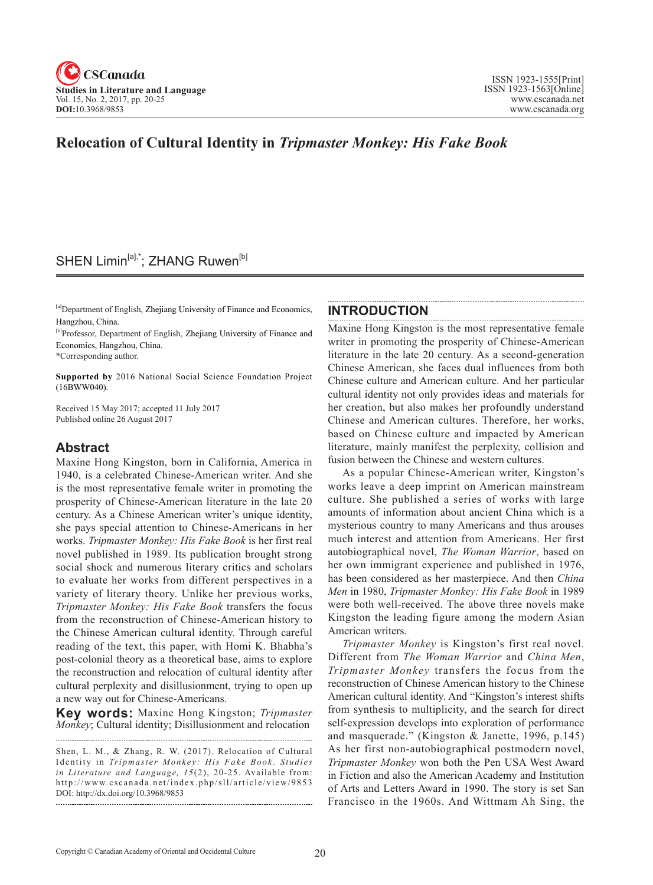

# **Relocation of Cultural Identity in** *Tripmaster Monkey: His Fake Book*

## SHEN Limin<sup>[a],\*</sup>; ZHANG Ruwen<sup>[b]</sup>

[a]Department of English, Zhejiang University of Finance and Economics, Hangzhou, China.

[b]Professor, Department of English, Zhejiang University of Finance and Economics, Hangzhou, China.

\*Corresponding author.

**Supported by** 2016 National Social Science Foundation Project (16BWW040).

Received 15 May 2017; accepted 11 July 2017 Published online 26 August 2017

#### **Abstract**

Maxine Hong Kingston, born in California, America in 1940, is a celebrated Chinese-American writer. And she is the most representative female writer in promoting the prosperity of Chinese-American literature in the late 20 century. As a Chinese American writer's unique identity, she pays special attention to Chinese-Americans in her works. *Tripmaster Monkey: His Fake Book* is her first real novel published in 1989. Its publication brought strong social shock and numerous literary critics and scholars to evaluate her works from different perspectives in a variety of literary theory. Unlike her previous works, *Tripmaster Monkey: His Fake Book* transfers the focus from the reconstruction of Chinese-American history to the Chinese American cultural identity. Through careful reading of the text, this paper, with Homi K. Bhabha's post-colonial theory as a theoretical base, aims to explore the reconstruction and relocation of cultural identity after cultural perplexity and disillusionment, trying to open up a new way out for Chinese-Americans.

**Key words:** Maxine Hong Kingston; *Tripmaster Monkey*; Cultural identity; Disillusionment and relocation

#### **INTRODUCTION**

Maxine Hong Kingston is the most representative female writer in promoting the prosperity of Chinese-American literature in the late 20 century. As a second-generation Chinese American, she faces dual influences from both Chinese culture and American culture. And her particular cultural identity not only provides ideas and materials for her creation, but also makes her profoundly understand Chinese and American cultures. Therefore, her works, based on Chinese culture and impacted by American literature, mainly manifest the perplexity, collision and fusion between the Chinese and western cultures.

As a popular Chinese-American writer, Kingston's works leave a deep imprint on American mainstream culture. She published a series of works with large amounts of information about ancient China which is a mysterious country to many Americans and thus arouses much interest and attention from Americans. Her first autobiographical novel, *The Woman Warrior*, based on her own immigrant experience and published in 1976, has been considered as her masterpiece. And then *China Men* in 1980, *Tripmaster Monkey: His Fake Book* in 1989 were both well-received. The above three novels make Kingston the leading figure among the modern Asian American writers.

*Tripmaster Monkey* is Kingston's first real novel. Different from *The Woman Warrior* and *China Men*, *Tripmaster Monkey* transfers the focus from the reconstruction of Chinese American history to the Chinese American cultural identity. And "Kingston's interest shifts from synthesis to multiplicity, and the search for direct self-expression develops into exploration of performance and masquerade." (Kingston & Janette, 1996, p.145) As her first non-autobiographical postmodern novel, *Tripmaster Monkey* won both the Pen USA West Award in Fiction and also the American Academy and Institution of Arts and Letters Award in 1990. The story is set San Francisco in the 1960s. And Wittmam Ah Sing, the

Shen, L. M., & Zhang, R. W. (2017). Relocation of Cultural Identity in *Tripmaster Monkey: His Fake Book. Studies in Literature and Language*, 15(2), 20-25. Available from: http://www.cscanada.net/index.php/sll/article/view/9853 DOI: http://dx.doi.org/10.3968/9853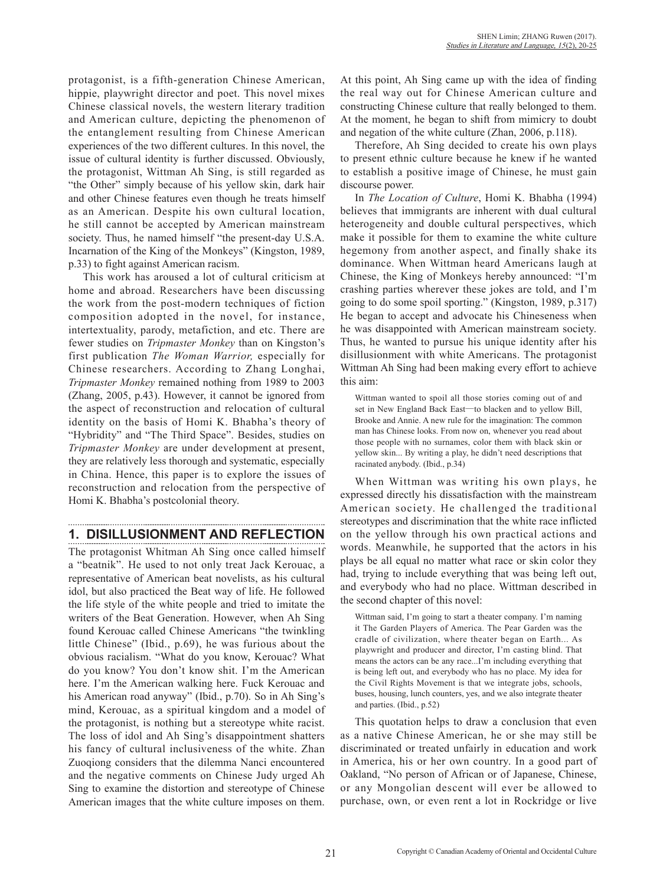protagonist, is a fifth-generation Chinese American, hippie, playwright director and poet. This novel mixes Chinese classical novels, the western literary tradition and American culture, depicting the phenomenon of the entanglement resulting from Chinese American experiences of the two different cultures. In this novel, the issue of cultural identity is further discussed. Obviously, the protagonist, Wittman Ah Sing, is still regarded as "the Other" simply because of his yellow skin, dark hair and other Chinese features even though he treats himself as an American. Despite his own cultural location, he still cannot be accepted by American mainstream society. Thus, he named himself "the present-day U.S.A. Incarnation of the King of the Monkeys" (Kingston, 1989, p.33) to fight against American racism.

This work has aroused a lot of cultural criticism at home and abroad. Researchers have been discussing the work from the post-modern techniques of fiction composition adopted in the novel, for instance, intertextuality, parody, metafiction, and etc. There are fewer studies on *Tripmaster Monkey* than on Kingston's first publication *The Woman Warrior,* especially for Chinese researchers. According to Zhang Longhai, *Tripmaster Monkey* remained nothing from 1989 to 2003 (Zhang, 2005, p.43). However, it cannot be ignored from the aspect of reconstruction and relocation of cultural identity on the basis of Homi K. Bhabha's theory of "Hybridity" and "The Third Space". Besides, studies on *Tripmaster Monkey* are under development at present, they are relatively less thorough and systematic, especially in China. Hence, this paper is to explore the issues of reconstruction and relocation from the perspective of Homi K. Bhabha's postcolonial theory.

## **1. DISILLUSIONMENT AND REFLECTION**

The protagonist Whitman Ah Sing once called himself a "beatnik". He used to not only treat Jack Kerouac, a representative of American beat novelists, as his cultural idol, but also practiced the Beat way of life. He followed the life style of the white people and tried to imitate the writers of the Beat Generation. However, when Ah Sing found Kerouac called Chinese Americans "the twinkling little Chinese" (Ibid., p.69), he was furious about the obvious racialism. "What do you know, Kerouac? What do you know? You don't know shit. I'm the American here. I'm the American walking here. Fuck Kerouac and his American road anyway" (Ibid., p.70). So in Ah Sing's mind, Kerouac, as a spiritual kingdom and a model of the protagonist, is nothing but a stereotype white racist. The loss of idol and Ah Sing's disappointment shatters his fancy of cultural inclusiveness of the white. Zhan Zuoqiong considers that the dilemma Nanci encountered and the negative comments on Chinese Judy urged Ah Sing to examine the distortion and stereotype of Chinese American images that the white culture imposes on them.

At this point, Ah Sing came up with the idea of finding the real way out for Chinese American culture and constructing Chinese culture that really belonged to them. At the moment, he began to shift from mimicry to doubt and negation of the white culture (Zhan, 2006, p.118).

Therefore, Ah Sing decided to create his own plays to present ethnic culture because he knew if he wanted to establish a positive image of Chinese, he must gain discourse power.

In *The Location of Culture*, Homi K. Bhabha (1994) believes that immigrants are inherent with dual cultural heterogeneity and double cultural perspectives, which make it possible for them to examine the white culture hegemony from another aspect, and finally shake its dominance. When Wittman heard Americans laugh at Chinese, the King of Monkeys hereby announced: "I'm crashing parties wherever these jokes are told, and I'm going to do some spoil sporting." (Kingston, 1989, p.317) He began to accept and advocate his Chineseness when he was disappointed with American mainstream society. Thus, he wanted to pursue his unique identity after his disillusionment with white Americans. The protagonist Wittman Ah Sing had been making every effort to achieve this aim:

Wittman wanted to spoil all those stories coming out of and set in New England Back East—to blacken and to yellow Bill, Brooke and Annie. A new rule for the imagination: The common man has Chinese looks. From now on, whenever you read about those people with no surnames, color them with black skin or yellow skin... By writing a play, he didn't need descriptions that racinated anybody. (Ibid., p.34)

When Wittman was writing his own plays, he expressed directly his dissatisfaction with the mainstream American society. He challenged the traditional stereotypes and discrimination that the white race inflicted on the yellow through his own practical actions and words. Meanwhile, he supported that the actors in his plays be all equal no matter what race or skin color they had, trying to include everything that was being left out, and everybody who had no place. Wittman described in the second chapter of this novel:

Wittman said, I'm going to start a theater company. I'm naming it The Garden Players of America. The Pear Garden was the cradle of civilization, where theater began on Earth... As playwright and producer and director, I'm casting blind. That means the actors can be any race...I'm including everything that is being left out, and everybody who has no place. My idea for the Civil Rights Movement is that we integrate jobs, schools, buses, housing, lunch counters, yes, and we also integrate theater and parties. (Ibid., p.52)

This quotation helps to draw a conclusion that even as a native Chinese American, he or she may still be discriminated or treated unfairly in education and work in America, his or her own country. In a good part of Oakland, "No person of African or of Japanese, Chinese, or any Mongolian descent will ever be allowed to purchase, own, or even rent a lot in Rockridge or live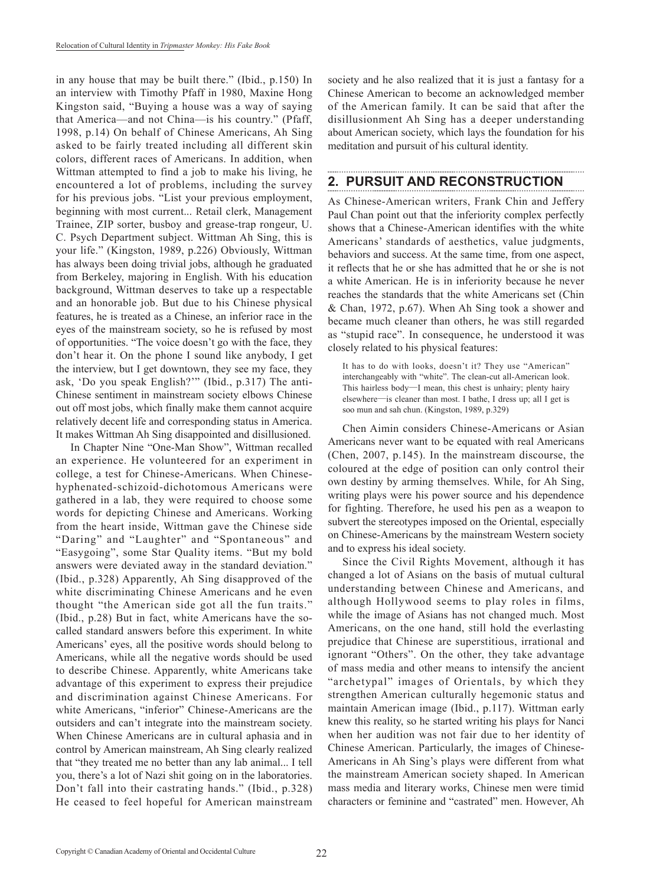in any house that may be built there." (Ibid., p.150) In an interview with Timothy Pfaff in 1980, Maxine Hong Kingston said, "Buying a house was a way of saying that America—and not China—is his country." (Pfaff, 1998, p.14) On behalf of Chinese Americans, Ah Sing asked to be fairly treated including all different skin colors, different races of Americans. In addition, when Wittman attempted to find a job to make his living, he encountered a lot of problems, including the survey for his previous jobs. "List your previous employment, beginning with most current... Retail clerk, Management Trainee, ZIP sorter, busboy and grease-trap rongeur, U. C. Psych Department subject. Wittman Ah Sing, this is your life." (Kingston, 1989, p.226) Obviously, Wittman has always been doing trivial jobs, although he graduated from Berkeley, majoring in English. With his education background, Wittman deserves to take up a respectable and an honorable job. But due to his Chinese physical features, he is treated as a Chinese, an inferior race in the eyes of the mainstream society, so he is refused by most of opportunities. "The voice doesn't go with the face, they don't hear it. On the phone I sound like anybody, I get the interview, but I get downtown, they see my face, they ask, 'Do you speak English?'" (Ibid., p.317) The anti-Chinese sentiment in mainstream society elbows Chinese out off most jobs, which finally make them cannot acquire relatively decent life and corresponding status in America. It makes Wittman Ah Sing disappointed and disillusioned.

In Chapter Nine "One-Man Show", Wittman recalled an experience. He volunteered for an experiment in college, a test for Chinese-Americans. When Chinesehyphenated-schizoid-dichotomous Americans were gathered in a lab, they were required to choose some words for depicting Chinese and Americans. Working from the heart inside, Wittman gave the Chinese side "Daring" and "Laughter" and "Spontaneous" and "Easygoing", some Star Quality items. "But my bold answers were deviated away in the standard deviation." (Ibid., p.328) Apparently, Ah Sing disapproved of the white discriminating Chinese Americans and he even thought "the American side got all the fun traits." (Ibid., p.28) But in fact, white Americans have the socalled standard answers before this experiment. In white Americans' eyes, all the positive words should belong to Americans, while all the negative words should be used to describe Chinese. Apparently, white Americans take advantage of this experiment to express their prejudice and discrimination against Chinese Americans. For white Americans, "inferior" Chinese-Americans are the outsiders and can't integrate into the mainstream society. When Chinese Americans are in cultural aphasia and in control by American mainstream, Ah Sing clearly realized that "they treated me no better than any lab animal... I tell you, there's a lot of Nazi shit going on in the laboratories. Don't fall into their castrating hands." (Ibid., p.328) He ceased to feel hopeful for American mainstream society and he also realized that it is just a fantasy for a Chinese American to become an acknowledged member of the American family. It can be said that after the disillusionment Ah Sing has a deeper understanding about American society, which lays the foundation for his meditation and pursuit of his cultural identity.

#### **2. PURSUIT AND RECONSTRUCTION**

As Chinese-American writers, Frank Chin and Jeffery Paul Chan point out that the inferiority complex perfectly shows that a Chinese-American identifies with the white Americans' standards of aesthetics, value judgments, behaviors and success. At the same time, from one aspect, it reflects that he or she has admitted that he or she is not a white American. He is in inferiority because he never reaches the standards that the white Americans set (Chin & Chan, 1972, p.67). When Ah Sing took a shower and became much cleaner than others, he was still regarded as "stupid race". In consequence, he understood it was closely related to his physical features:

It has to do with looks, doesn't it? They use "American" interchangeably with "white". The clean-cut all-American look. This hairless body—I mean, this chest is unhairy; plenty hairy elsewhere—is cleaner than most. I bathe, I dress up; all I get is soo mun and sah chun. (Kingston, 1989, p.329)

Chen Aimin considers Chinese-Americans or Asian Americans never want to be equated with real Americans (Chen, 2007, p.145). In the mainstream discourse, the coloured at the edge of position can only control their own destiny by arming themselves. While, for Ah Sing, writing plays were his power source and his dependence for fighting. Therefore, he used his pen as a weapon to subvert the stereotypes imposed on the Oriental, especially on Chinese-Americans by the mainstream Western society and to express his ideal society.

Since the Civil Rights Movement, although it has changed a lot of Asians on the basis of mutual cultural understanding between Chinese and Americans, and although Hollywood seems to play roles in films, while the image of Asians has not changed much. Most Americans, on the one hand, still hold the everlasting prejudice that Chinese are superstitious, irrational and ignorant "Others". On the other, they take advantage of mass media and other means to intensify the ancient "archetypal" images of Orientals, by which they strengthen American culturally hegemonic status and maintain American image (Ibid., p.117). Wittman early knew this reality, so he started writing his plays for Nanci when her audition was not fair due to her identity of Chinese American. Particularly, the images of Chinese-Americans in Ah Sing's plays were different from what the mainstream American society shaped. In American mass media and literary works, Chinese men were timid characters or feminine and "castrated" men. However, Ah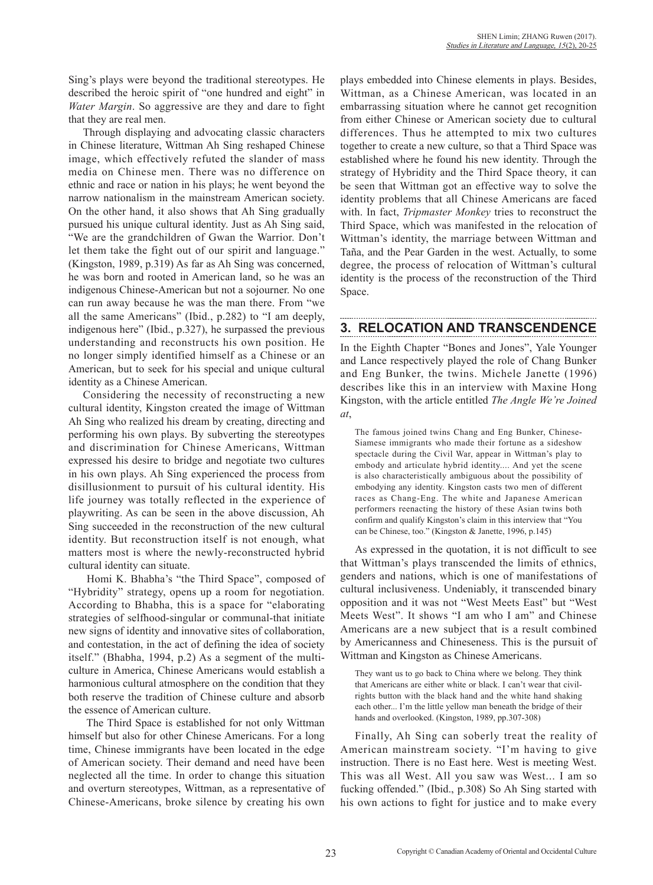Sing's plays were beyond the traditional stereotypes. He described the heroic spirit of "one hundred and eight" in *Water Margin*. So aggressive are they and dare to fight that they are real men.

Through displaying and advocating classic characters in Chinese literature, Wittman Ah Sing reshaped Chinese image, which effectively refuted the slander of mass media on Chinese men. There was no difference on ethnic and race or nation in his plays; he went beyond the narrow nationalism in the mainstream American society. On the other hand, it also shows that Ah Sing gradually pursued his unique cultural identity. Just as Ah Sing said, "We are the grandchildren of Gwan the Warrior. Don't let them take the fight out of our spirit and language." (Kingston, 1989, p.319) As far as Ah Sing was concerned, he was born and rooted in American land, so he was an indigenous Chinese-American but not a sojourner. No one can run away because he was the man there. From "we all the same Americans" (Ibid., p.282) to "I am deeply, indigenous here" (Ibid., p.327), he surpassed the previous understanding and reconstructs his own position. He no longer simply identified himself as a Chinese or an American, but to seek for his special and unique cultural identity as a Chinese American.

Considering the necessity of reconstructing a new cultural identity, Kingston created the image of Wittman Ah Sing who realized his dream by creating, directing and performing his own plays. By subverting the stereotypes and discrimination for Chinese Americans, Wittman expressed his desire to bridge and negotiate two cultures in his own plays. Ah Sing experienced the process from disillusionment to pursuit of his cultural identity. His life journey was totally reflected in the experience of playwriting. As can be seen in the above discussion, Ah Sing succeeded in the reconstruction of the new cultural identity. But reconstruction itself is not enough, what matters most is where the newly-reconstructed hybrid cultural identity can situate.

 Homi K. Bhabha's "the Third Space", composed of "Hybridity" strategy, opens up a room for negotiation. According to Bhabha, this is a space for "elaborating strategies of selfhood-singular or communal-that initiate new signs of identity and innovative sites of collaboration, and contestation, in the act of defining the idea of society itself." (Bhabha, 1994, p.2) As a segment of the multiculture in America, Chinese Americans would establish a harmonious cultural atmosphere on the condition that they both reserve the tradition of Chinese culture and absorb the essence of American culture.

 The Third Space is established for not only Wittman himself but also for other Chinese Americans. For a long time, Chinese immigrants have been located in the edge of American society. Their demand and need have been neglected all the time. In order to change this situation and overturn stereotypes, Wittman, as a representative of Chinese-Americans, broke silence by creating his own

plays embedded into Chinese elements in plays. Besides, Wittman, as a Chinese American, was located in an embarrassing situation where he cannot get recognition from either Chinese or American society due to cultural differences. Thus he attempted to mix two cultures together to create a new culture, so that a Third Space was established where he found his new identity. Through the strategy of Hybridity and the Third Space theory, it can be seen that Wittman got an effective way to solve the identity problems that all Chinese Americans are faced with. In fact, *Tripmaster Monkey* tries to reconstruct the Third Space, which was manifested in the relocation of Wittman's identity, the marriage between Wittman and Taña, and the Pear Garden in the west. Actually, to some degree, the process of relocation of Wittman's cultural identity is the process of the reconstruction of the Third Space.

### **3. RELOCATION AND TRANSCENDENCE**

In the Eighth Chapter "Bones and Jones", Yale Younger and Lance respectively played the role of Chang Bunker and Eng Bunker, the twins. Michele Janette (1996) describes like this in an interview with Maxine Hong Kingston, with the article entitled *The Angle We're Joined at*,

The famous joined twins Chang and Eng Bunker, Chinese-Siamese immigrants who made their fortune as a sideshow spectacle during the Civil War, appear in Wittman's play to embody and articulate hybrid identity.... And yet the scene is also characteristically ambiguous about the possibility of embodying any identity. Kingston casts two men of different races as Chang-Eng. The white and Japanese American performers reenacting the history of these Asian twins both confirm and qualify Kingston's claim in this interview that "You can be Chinese, too." (Kingston & Janette, 1996, p.145)

As expressed in the quotation, it is not difficult to see that Wittman's plays transcended the limits of ethnics, genders and nations, which is one of manifestations of cultural inclusiveness. Undeniably, it transcended binary opposition and it was not "West Meets East" but "West Meets West". It shows "I am who I am" and Chinese Americans are a new subject that is a result combined by Americanness and Chineseness. This is the pursuit of Wittman and Kingston as Chinese Americans.

They want us to go back to China where we belong. They think that Americans are either white or black. I can't wear that civilrights button with the black hand and the white hand shaking each other... I'm the little yellow man beneath the bridge of their hands and overlooked. (Kingston, 1989, pp.307-308)

Finally, Ah Sing can soberly treat the reality of American mainstream society. "I'm having to give instruction. There is no East here. West is meeting West. This was all West. All you saw was West... I am so fucking offended." (Ibid., p.308) So Ah Sing started with his own actions to fight for justice and to make every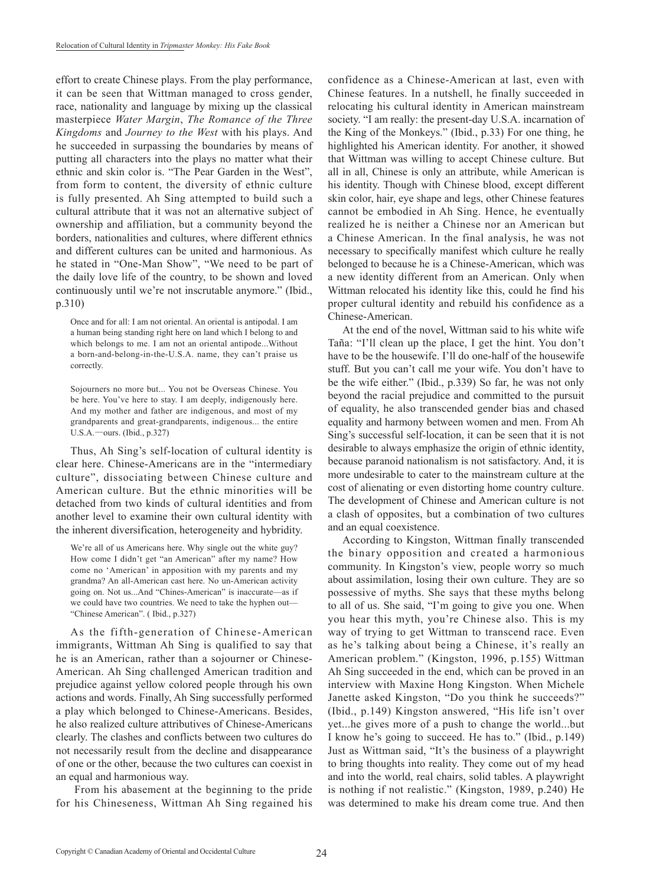effort to create Chinese plays. From the play performance, it can be seen that Wittman managed to cross gender, race, nationality and language by mixing up the classical masterpiece *Water Margin*, *The Romance of the Three Kingdoms* and *Journey to the West* with his plays. And he succeeded in surpassing the boundaries by means of putting all characters into the plays no matter what their ethnic and skin color is. "The Pear Garden in the West", from form to content, the diversity of ethnic culture is fully presented. Ah Sing attempted to build such a cultural attribute that it was not an alternative subject of ownership and affiliation, but a community beyond the borders, nationalities and cultures, where different ethnics and different cultures can be united and harmonious. As he stated in "One-Man Show", "We need to be part of the daily love life of the country, to be shown and loved continuously until we're not inscrutable anymore." (Ibid., p.310)

Once and for all: I am not oriental. An oriental is antipodal. I am a human being standing right here on land which I belong to and which belongs to me. I am not an oriental antipode...Without a born-and-belong-in-the-U.S.A. name, they can't praise us correctly.

Sojourners no more but... You not be Overseas Chinese. You be here. You've here to stay. I am deeply, indigenously here. And my mother and father are indigenous, and most of my grandparents and great-grandparents, indigenous... the entire U.S.A.—ours. (Ibid., p.327)

Thus, Ah Sing's self-location of cultural identity is clear here. Chinese-Americans are in the "intermediary culture", dissociating between Chinese culture and American culture. But the ethnic minorities will be detached from two kinds of cultural identities and from another level to examine their own cultural identity with the inherent diversification, heterogeneity and hybridity.

We're all of us Americans here. Why single out the white guy? How come I didn't get "an American" after my name? How come no 'American' in apposition with my parents and my grandma? An all-American cast here. No un-American activity going on. Not us...And "Chines-American" is inaccurate—as if we could have two countries. We need to take the hyphen out— "Chinese American". ( Ibid., p.327)

As the fifth-generation of Chinese-American immigrants, Wittman Ah Sing is qualified to say that he is an American, rather than a sojourner or Chinese-American. Ah Sing challenged American tradition and prejudice against yellow colored people through his own actions and words. Finally, Ah Sing successfully performed a play which belonged to Chinese-Americans. Besides, he also realized culture attributives of Chinese-Americans clearly. The clashes and conflicts between two cultures do not necessarily result from the decline and disappearance of one or the other, because the two cultures can coexist in an equal and harmonious way.

 From his abasement at the beginning to the pride for his Chineseness, Wittman Ah Sing regained his confidence as a Chinese-American at last, even with Chinese features. In a nutshell, he finally succeeded in relocating his cultural identity in American mainstream society. "I am really: the present-day U.S.A. incarnation of the King of the Monkeys." (Ibid., p.33) For one thing, he highlighted his American identity. For another, it showed that Wittman was willing to accept Chinese culture. But all in all, Chinese is only an attribute, while American is his identity. Though with Chinese blood, except different skin color, hair, eye shape and legs, other Chinese features cannot be embodied in Ah Sing. Hence, he eventually realized he is neither a Chinese nor an American but a Chinese American. In the final analysis, he was not necessary to specifically manifest which culture he really belonged to because he is a Chinese-American, which was a new identity different from an American. Only when Wittman relocated his identity like this, could he find his proper cultural identity and rebuild his confidence as a Chinese-American.

At the end of the novel, Wittman said to his white wife Taña: "I'll clean up the place, I get the hint. You don't have to be the housewife. I'll do one-half of the housewife stuff. But you can't call me your wife. You don't have to be the wife either." (Ibid., p.339) So far, he was not only beyond the racial prejudice and committed to the pursuit of equality, he also transcended gender bias and chased equality and harmony between women and men. From Ah Sing's successful self-location, it can be seen that it is not desirable to always emphasize the origin of ethnic identity, because paranoid nationalism is not satisfactory. And, it is more undesirable to cater to the mainstream culture at the cost of alienating or even distorting home country culture. The development of Chinese and American culture is not a clash of opposites, but a combination of two cultures and an equal coexistence.

According to Kingston, Wittman finally transcended the binary opposition and created a harmonious community. In Kingston's view, people worry so much about assimilation, losing their own culture. They are so possessive of myths. She says that these myths belong to all of us. She said, "I'm going to give you one. When you hear this myth, you're Chinese also. This is my way of trying to get Wittman to transcend race. Even as he's talking about being a Chinese, it's really an American problem." (Kingston, 1996, p.155) Wittman Ah Sing succeeded in the end, which can be proved in an interview with Maxine Hong Kingston. When Michele Janette asked Kingston, "Do you think he succeeds?" (Ibid., p.149) Kingston answered, "His life isn't over yet...he gives more of a push to change the world...but I know he's going to succeed. He has to." (Ibid., p.149) Just as Wittman said, "It's the business of a playwright to bring thoughts into reality. They come out of my head and into the world, real chairs, solid tables. A playwright is nothing if not realistic." (Kingston, 1989, p.240) He was determined to make his dream come true. And then